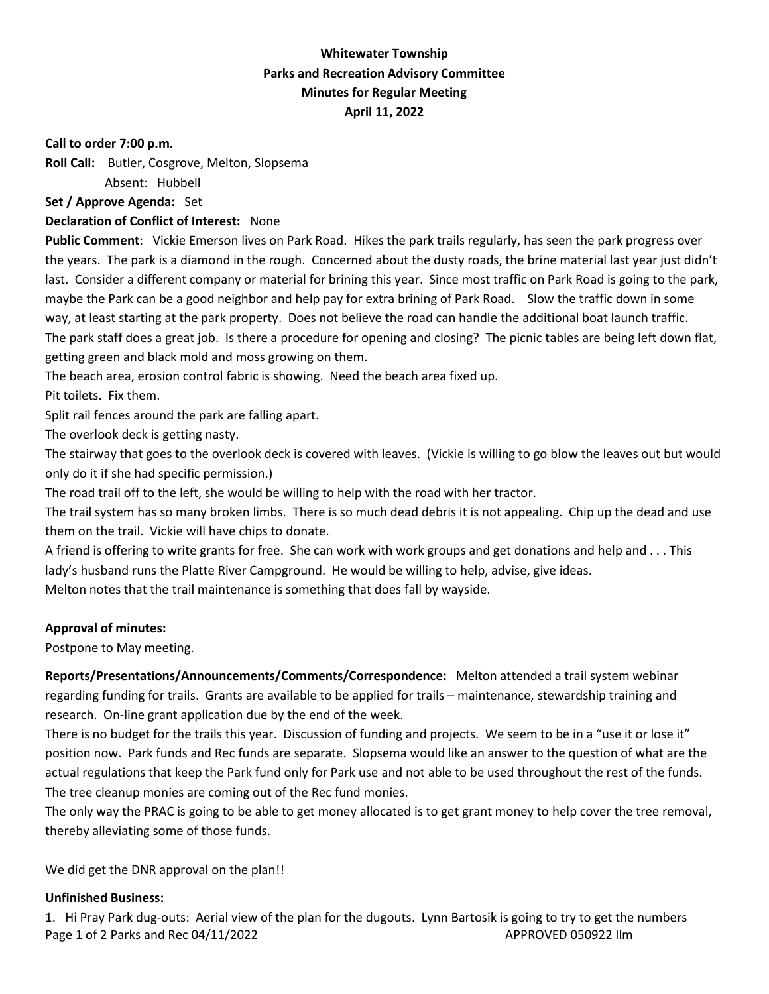# **Whitewater Township Parks and Recreation Advisory Committee Minutes for Regular Meeting April 11, 2022**

#### **Call to order 7:00 p.m.**

**Roll Call:** Butler, Cosgrove, Melton, Slopsema

Absent: Hubbell

**Set / Approve Agenda:** Set

## **Declaration of Conflict of Interest:** None

**Public Comment**: Vickie Emerson lives on Park Road. Hikes the park trails regularly, has seen the park progress over the years. The park is a diamond in the rough. Concerned about the dusty roads, the brine material last year just didn't last. Consider a different company or material for brining this year. Since most traffic on Park Road is going to the park, maybe the Park can be a good neighbor and help pay for extra brining of Park Road. Slow the traffic down in some way, at least starting at the park property. Does not believe the road can handle the additional boat launch traffic. The park staff does a great job. Is there a procedure for opening and closing? The picnic tables are being left down flat, getting green and black mold and moss growing on them.

The beach area, erosion control fabric is showing. Need the beach area fixed up.

Pit toilets. Fix them.

Split rail fences around the park are falling apart.

The overlook deck is getting nasty.

The stairway that goes to the overlook deck is covered with leaves. (Vickie is willing to go blow the leaves out but would only do it if she had specific permission.)

The road trail off to the left, she would be willing to help with the road with her tractor.

The trail system has so many broken limbs. There is so much dead debris it is not appealing. Chip up the dead and use them on the trail. Vickie will have chips to donate.

A friend is offering to write grants for free. She can work with work groups and get donations and help and . . . This lady's husband runs the Platte River Campground. He would be willing to help, advise, give ideas.

Melton notes that the trail maintenance is something that does fall by wayside.

## **Approval of minutes:**

Postpone to May meeting.

**Reports/Presentations/Announcements/Comments/Correspondence:** Melton attended a trail system webinar regarding funding for trails. Grants are available to be applied for trails – maintenance, stewardship training and research. On-line grant application due by the end of the week.

There is no budget for the trails this year. Discussion of funding and projects. We seem to be in a "use it or lose it" position now. Park funds and Rec funds are separate. Slopsema would like an answer to the question of what are the actual regulations that keep the Park fund only for Park use and not able to be used throughout the rest of the funds. The tree cleanup monies are coming out of the Rec fund monies.

The only way the PRAC is going to be able to get money allocated is to get grant money to help cover the tree removal, thereby alleviating some of those funds.

We did get the DNR approval on the plan!!

## **Unfinished Business:**

Page 1 of 2 Parks and Rec 04/11/2022 APPROVED 050922 llm 1. Hi Pray Park dug-outs: Aerial view of the plan for the dugouts. Lynn Bartosik is going to try to get the numbers